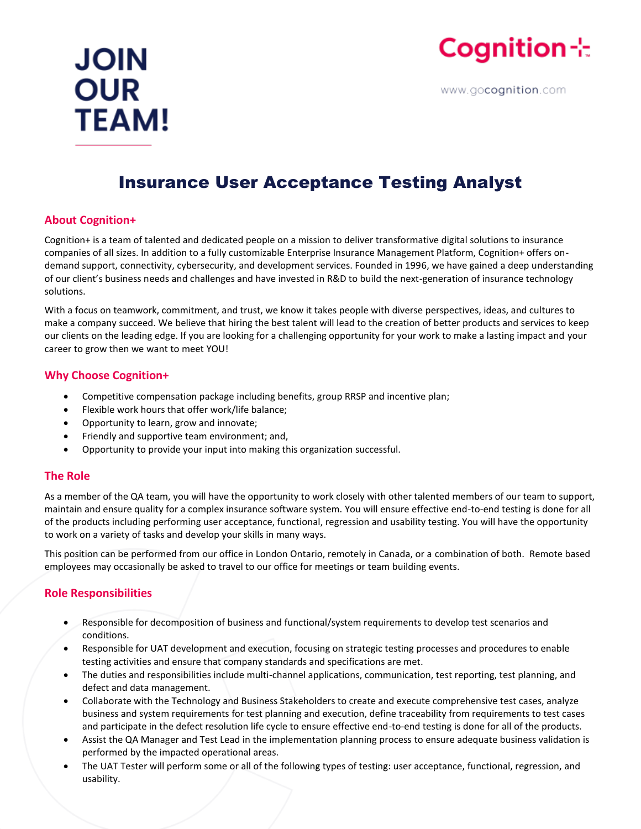

www.gocognition.com



## Insurance User Acceptance Testing Analyst

### **About Cognition+**

Cognition+ is a team of talented and dedicated people on a mission to deliver transformative digital solutions to insurance companies of all sizes. In addition to a fully customizable Enterprise Insurance Management Platform, Cognition+ offers ondemand support, connectivity, cybersecurity, and development services. Founded in 1996, we have gained a deep understanding of our client's business needs and challenges and have invested in R&D to build the next-generation of insurance technology solutions.

With a focus on teamwork, commitment, and trust, we know it takes people with diverse perspectives, ideas, and cultures to make a company succeed. We believe that hiring the best talent will lead to the creation of better products and services to keep our clients on the leading edge. If you are looking for a challenging opportunity for your work to make a lasting impact and your career to grow then we want to meet YOU!

### **Why Choose Cognition+**

- Competitive compensation package including benefits, group RRSP and incentive plan;
- Flexible work hours that offer work/life balance;
- Opportunity to learn, grow and innovate;
- Friendly and supportive team environment; and,
- Opportunity to provide your input into making this organization successful.

### **The Role**

As a member of the QA team, you will have the opportunity to work closely with other talented members of our team to support, maintain and ensure quality for a complex insurance software system. You will ensure effective end-to-end testing is done for all of the products including performing user acceptance, functional, regression and usability testing. You will have the opportunity to work on a variety of tasks and develop your skills in many ways.

This position can be performed from our office in London Ontario, remotely in Canada, or a combination of both. Remote based employees may occasionally be asked to travel to our office for meetings or team building events.

### **Role Responsibilities**

- Responsible for decomposition of business and functional/system requirements to develop test scenarios and conditions.
- Responsible for UAT development and execution, focusing on strategic testing processes and procedures to enable testing activities and ensure that company standards and specifications are met.
- The duties and responsibilities include multi-channel applications, communication, test reporting, test planning, and defect and data management.
- Collaborate with the Technology and Business Stakeholders to create and execute comprehensive test cases, analyze business and system requirements for test planning and execution, define traceability from requirements to test cases and participate in the defect resolution life cycle to ensure effective end-to-end testing is done for all of the products.
- Assist the QA Manager and Test Lead in the implementation planning process to ensure adequate business validation is performed by the impacted operational areas.
- The UAT Tester will perform some or all of the following types of testing: user acceptance, functional, regression, and usability.